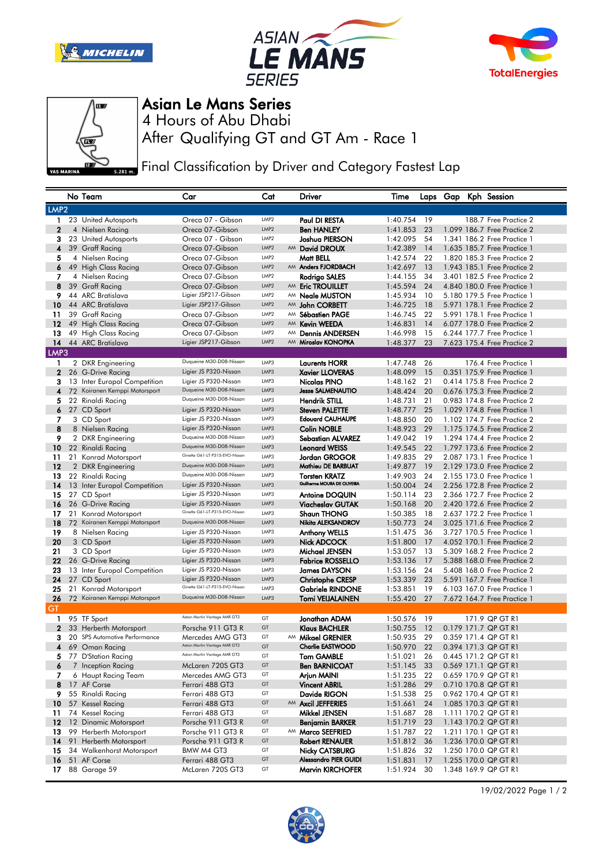







## Asian Le Mans Series

After Qualifying GT and GT Am - Race 1 4 Hours of Abu Dhabi

Final Classification by Driver and Category Fastest Lap

|                  |    | No Team                                             | Car                                              | Cat              |    | Driver                                  | Time                    |          |  | Laps Gap Kph Session                         |
|------------------|----|-----------------------------------------------------|--------------------------------------------------|------------------|----|-----------------------------------------|-------------------------|----------|--|----------------------------------------------|
| LMP <sub>2</sub> |    |                                                     |                                                  |                  |    |                                         |                         |          |  |                                              |
| 1                |    | 23 United Autosports                                | Oreca 07 - Gibson                                | LMP2             |    | Paul DI RESTA                           | 1:40.754                | 19       |  | 188.7 Free Practice 2                        |
| $\mathbf{2}$     |    | 4 Nielsen Racing                                    | Oreca 07-Gibson                                  | LMP <sub>2</sub> |    | <b>Ben HANLEY</b>                       | 1:41.853                | 23       |  | 1.099 186.7 Free Practice 2                  |
| 3                |    | 23 United Autosports                                | Oreca 07 - Gibson                                | LMP2             |    | Joshua PIERSON                          | 1:42.095                | 54       |  | 1.341 186.2 Free Practice 1                  |
| 4                |    | 39 Graff Racing                                     | Oreca 07-Gibson                                  | LMP <sub>2</sub> |    | AM David DROUX                          | 1:42.389                | 14       |  | 1.635 185.7 Free Practice 1                  |
| 5                |    | 4 Nielsen Racing                                    | Oreca 07-Gibson                                  | LMP <sub>2</sub> |    | Matt BELL                               | 1:42.574                | 22       |  | 1,820 185,3 Free Practice 2                  |
| 6                |    | 49 High Class Racing                                | Oreca 07-Gibson                                  | LMP <sub>2</sub> |    | AM Anders FJORDBACH                     | 1:42.697                | 13       |  | 1.943 185.1 Free Practice 2                  |
| 7                |    | 4 Nielsen Racing                                    | Oreca 07-Gibson                                  | LMP <sub>2</sub> |    | Rodrigo SALES                           | 1:44.155                | 34       |  | 3.401 182.5 Free Practice 2                  |
| 8                |    | 39 Graff Racing                                     | Oreca 07-Gibson                                  | LMP2             |    | AM Eric TROUILLET                       | 1:45.594                | 24       |  | 4.840 180.0 Free Practice 1                  |
| 9                |    | 44 ARC Bratislava                                   | Ligier JSP217-Gibson                             | LMP <sub>2</sub> | AM | <b>Neale MUSTON</b>                     | 1:45.934                | 10       |  | 5.180 179.5 Free Practice 1                  |
| 10               |    | 44 ARC Bratislava                                   | Ligier JSP217-Gibson                             | LMP <sub>2</sub> |    | AM John CORBETT                         | 1:46.725                | 18       |  | 5.971 178.1 Free Practice 2                  |
| 11               |    | 39 Graff Racing                                     | Oreca 07-Gibson                                  | LMP <sub>2</sub> | AM | <b>Sébastien PAGE</b>                   | 1:46.745                | 22       |  | 5.991 178.1 Free Practice 1                  |
| 12               |    | 49 High Class Racing                                | Oreca 07-Gibson                                  | LMP <sub>2</sub> | AM | <b>Kevin WEEDA</b>                      | 1:46.831                | 14       |  | 6.077 178.0 Free Practice 2                  |
| 13               |    | 49 High Class Racing                                | Oreca 07-Gibson                                  | LMP <sub>2</sub> | AM | <b>Dennis ANDERSEN</b>                  | 1:46.998                | 15       |  | 6.244 177.7 Free Practice 1                  |
| 14               |    | 44 ARC Bratislava                                   | Ligier JSP217-Gibson                             | LMP <sub>2</sub> | AM | Miroslav KONOPKA                        | 1:48.377                | 23       |  | 7.623 175.4 Free Practice 2                  |
| LMP3             |    |                                                     |                                                  |                  |    |                                         |                         |          |  |                                              |
| 1                |    | 2 DKR Engineering                                   | Duqueine M30-D08-Nissan                          | LMP3             |    | <b>Laurents HORR</b>                    | 1:47.748                | 26       |  | 176.4 Free Practice 1                        |
| $\mathbf{2}$     |    | 26 G-Drive Racing                                   | Ligier JS P320-Nissan                            | LMP3             |    | <b>Xavier LLOVERAS</b>                  | 1:48.099                | 15       |  | 0.351 175.9 Free Practice 1                  |
| 3                |    | 13 Inter Europol Competition                        | Ligier JS P320-Nissan                            | LMP3             |    | Nicolas PINO                            | 1:48.162                | 21       |  | 0.414 175.8 Free Practice 2                  |
| 4                |    | 72 Koiranen Kemppi Motorsport                       | Duqueine M30-D08-Nissan                          | LMP3             |    | <b>Jesse SALMENAUTIO</b>                | 1:48.424                | 20       |  | 0.676 175.3 Free Practice 2                  |
| 5                |    | 22 Rinaldi Racing                                   | Duqueine M30-D08-Nissan                          | LMP3             |    | <b>Hendrik STILL</b>                    | 1:48.731                | 21       |  | 0.983 174.8 Free Practice 2                  |
| 6                |    | 27 CD Sport                                         | Ligier JS P320-Nissan                            | LMP3             |    | <b>Steven PALETTE</b>                   | 1:48.777                | 25       |  | 1.029 174.8 Free Practice 1                  |
| 7                |    | 3 CD Sport                                          | Ligier JS P320-Nissan                            | LMP3             |    | <b>Edouard CAUHAUPE</b>                 | 1:48.850                | 20       |  | 1.102 174.7 Free Practice 2                  |
| 8                |    | 8 Nielsen Racing                                    | Ligier JS P320-Nissan                            | LMP3             |    | <b>Colin NOBLE</b>                      | 1:48.923                | 29       |  | 1.175 174.5 Free Practice 2                  |
| 9                |    | 2 DKR Engineering                                   | Duqueine M30-D08-Nissan                          | LMP3             |    | <b>Sebastian ALVAREZ</b>                | 1:49.042                | 19       |  | 1.294 174.4 Free Practice 2                  |
| 10               |    | 22 Rinaldi Racing                                   | Duqueine M30-D08-Nissan                          | LMP3             |    | <b>Leonard WEISS</b>                    | 1:49.545                | 22       |  | 1.797 173.6 Free Practice 2                  |
| 11               |    | 21 Konrad Motorsport                                | Ginetta G61-LT-P315-EVO-Nissan                   | LMP3             |    | Jordan GROGOR                           | 1:49.835                | 29       |  | 2.087 173.1 Free Practice 1                  |
| 12               |    | 2 DKR Engineering                                   | Duqueine M30-D08-Nissan                          | LMP3             |    | Mathieu DE BARBUAT                      | 1:49.877                | 19       |  | 2.129 173.0 Free Practice 2                  |
| 13               |    | 22 Rinaldi Racing                                   | Duqueine M30-D08-Nissan                          | LMP3             |    | <b>Torsten KRATZ</b>                    | 1:49.903                | 24       |  | 2.155 173.0 Free Practice 1                  |
| 14               |    | 13 Inter Europol Competition                        | Ligier JS P320-Nissan                            | LMP3             |    | <b>Guilherme MOURA DE OLIVEIRA</b>      | 1:50.004                | 24       |  | 2.256 172.8 Free Practice 2                  |
| 15               |    | 27 CD Sport                                         | Ligier JS P320-Nissan                            | LMP3             |    | <b>Antoine DOQUIN</b>                   | 1:50.114                | 23       |  | 2.366 172.7 Free Practice 2                  |
| 16               |    | 26 G-Drive Racing                                   | Ligier JS P320-Nissan                            | LMP3             |    | <b>Viacheslav GUTAK</b>                 | 1:50.168                | 20       |  | 2.420 172.6 Free Practice 2                  |
| 17               |    | 21 Konrad Motorsport                                | Ginetta G61-LT-P315-EVO-Nissan                   | LMP3             |    | <b>Shaun THONG</b>                      | 1:50.385                | 18       |  | 2.637 172.2 Free Practice 1                  |
| 18               |    | 72 Koiranen Kemppi Motorsport                       | Duqueine M30-D08-Nissan                          | LMP3             |    | Nikita ALEKSANDROV                      | 1:50.773                | 24       |  | 3.025 171.6 Free Practice 2                  |
| 19               |    | 8 Nielsen Racing                                    | Ligier JS P320-Nissan                            | LMP3             |    | <b>Anthony WELLS</b>                    | 1:51.475                | 36       |  | 3.727 170.5 Free Practice 1                  |
| 20               |    | 3 CD Sport                                          | Ligier JS P320-Nissan                            | LMP3             |    | <b>Nick ADCOCK</b>                      | 1:51.800                | 17       |  | 4.052 170.1 Free Practice 2                  |
| 21               |    | 3 CD Sport                                          | Ligier JS P320-Nissan                            | LMP3             |    | Michael JENSEN                          | 1:53.057                | 13       |  | 5,309 168.2 Free Practice 2                  |
| 22               |    | 26 G-Drive Racing                                   | Ligier JS P320-Nissan                            | LMP3             |    | <b>Fabrice ROSSELLO</b>                 | 1:53.136                | 17       |  | 5.388 168.0 Free Practice 2                  |
| 23               |    | 13 Inter Europol Competition                        | Ligier JS P320-Nissan                            | LMP3             |    | <b>James DAYSON</b>                     | 1:53.156                | 24       |  | 5.408 168.0 Free Practice 2                  |
| 24               |    | 27 CD Sport                                         | Ligier JS P320-Nissan                            | LMP3             |    | <b>Christophe CRESP</b>                 | 1:53.339                | 23       |  | 5.591 167.7 Free Practice 1                  |
| 25               |    | 21 Konrad Motorsport                                | Ginetta G61-LT-P315-EVO-Nissan                   | LMP3             |    | <b>Gabriele RINDONE</b>                 | 1:53.851                | 19       |  | 6.103 167.0 Free Practice 1                  |
| 26               |    | 72 Koiranen Kemppi Motorsport                       | Duqueine M30-D08-Nissan                          | LMP3             |    | <b>Tomi VEIJALAINEN</b>                 | 1:55.420                | 27       |  | 7.672 164.7 Free Practice 1                  |
| GT               |    |                                                     |                                                  |                  |    |                                         |                         |          |  |                                              |
| 1                |    | 95 TF Sport                                         | Aston Martin Vantage AMR GT3                     | GT               |    | Jonathan ADAM                           | 1:50.576                | 19       |  | 171.9 QP GT R1                               |
| $\mathbf{2}$     |    | 33 Herberth Motorsport                              | Porsche 911 GT3 R                                | GT               |    | <b>Klaus BACHLER</b>                    | 1:50.755                | 12       |  | 0.179 171.7 QP GT R1                         |
| 3                | 20 | <b>SPS Automotive Performance</b>                   | Mercedes AMG GT3<br>Aston Martin Vantage AMR GT3 | GT               |    | AM Mikael GRENIER                       | 1:50.935                | 29       |  | 0.359 171.4 QP GT R1                         |
| 4                |    | 69 Oman Racing                                      |                                                  | GT               |    | <b>Charlie EASTWOOD</b>                 | 1:50.970                | 22       |  | 0.394 171.3 QP GT R1                         |
| 5                |    | 77 D'Station Racing                                 | ك Aston Martin Vantage AMK هاي                   | GT               |    | Tom GAMBLE                              | 1:51.021                | 26       |  | 0.445 171.2 QP GT R1                         |
| 6                |    | 7 Inception Racing                                  | McLaren 720S GT3                                 | GT               |    | <b>Ben BARNICOAT</b>                    | 1:51.145                | 33       |  | 0.569 171.1 QP GT R1                         |
| 7                |    | 6 Haupt Racing Team                                 | Mercedes AMG GT3                                 | GT               |    | Arjun MAINI                             | 1:51.235                | 22       |  | 0.659 170.9 QP GT R1                         |
| 8                |    | 17 AF Corse                                         | Ferrari 488 GT3                                  | GT<br>GT         |    | <b>Vincent ABRIL</b>                    | 1:51.286                | 29       |  | 0.710 170.8 QP GT R1                         |
| 9.               |    | 55 Rinaldi Racing                                   | Ferrari 488 GT3                                  | GT               |    | Davide RIGON                            | 1:51.538                | 25       |  | 0.962 170.4 QP GT R1                         |
| 10 <sup>°</sup>  |    | 57 Kessel Racing<br>74 Kessel Racing                | Ferrari 488 GT3                                  | GT               |    | AM Axcil JEFFERIES                      | 1:51.661                | 24       |  | 1.085 170.3 QP GT R1                         |
| 11               |    |                                                     | Ferrari 488 GT3                                  | GT               |    | Mikkel JENSEN                           | 1:51.687 28<br>1:51.719 |          |  | 1.111 170.2 QP GT R1                         |
|                  |    | 12 12 Dinamic Motorsport                            | Porsche 911 GT3 R                                | GT               |    | <b>Benjamin BARKER</b>                  |                         | 23       |  | 1.143 170.2 QP GT R1<br>1.211 170.1 QP GT R1 |
| 13<br>14         |    | 99 Herberth Motorsport                              | Porsche 911 GT3 R                                | GT               |    | AM Marco SEEFRIED                       | 1:51.787                | 22       |  |                                              |
| 15               |    | 91 Herberth Motorsport<br>34 Walkenhorst Motorsport | Porsche 911 GT3 R<br>BMW M4 GT3                  | GT               |    | Robert RENAUER<br><b>Nicky CATSBURG</b> | 1:51.812<br>1:51.826    | 36<br>32 |  | 1.236 170.0 QP GT R1<br>1.250 170.0 QP GT R1 |
| 16               |    | 51 AF Corse                                         | Ferrari 488 GT3                                  | GT               |    | <b>Alessandro PIER GUIDI</b>            | 1:51.831                | 17       |  | 1.255 170.0 QP GT R1                         |
| 17.              |    | 88 Garage 59                                        | McLaren 720S GT3                                 | GT               |    | Marvin KIRCHOFER                        | 1:51.924                | 30       |  | 1.348 169.9 QP GT R1                         |
|                  |    |                                                     |                                                  |                  |    |                                         |                         |          |  |                                              |